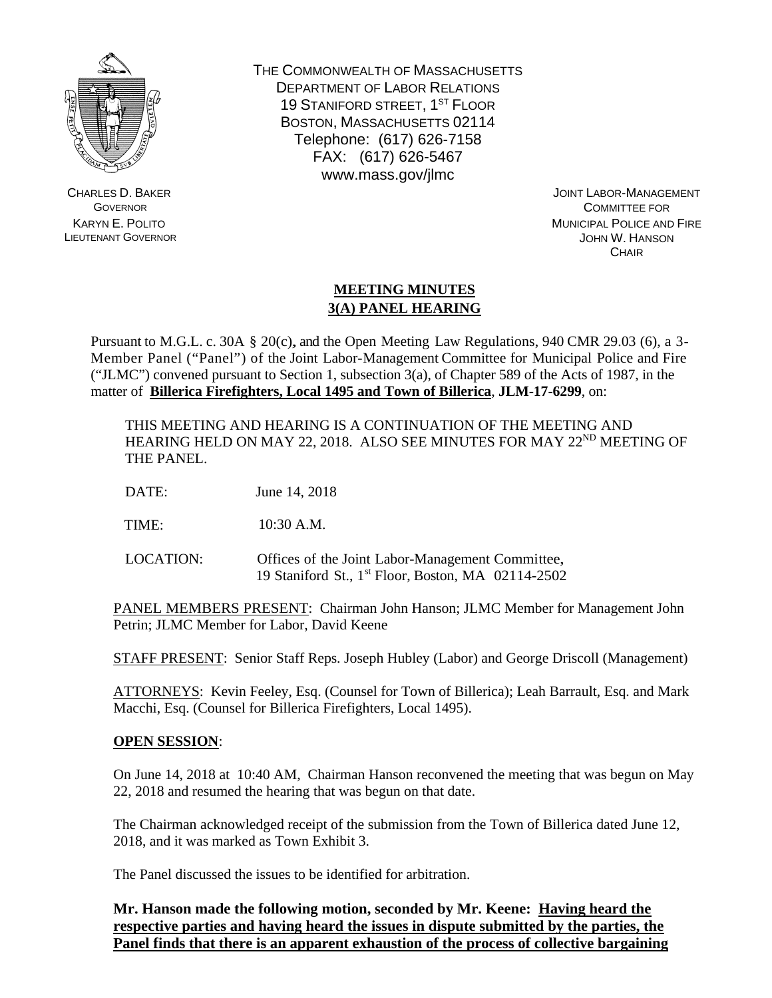

CHARLES D. BAKER **GOVERNOR** KARYN E. POLITO LIEUTENANT GOVERNOR THE COMMONWEALTH OF MASSACHUSETTS DEPARTMENT OF LABOR RELATIONS 19 STANIFORD STREET, 1ST FLOOR BOSTON, MASSACHUSETTS 02114 Telephone: (617) 626-7158 FAX: (617) 626-5467 www.mass.gov/jlmc

> JOINT LABOR-MANAGEMENT COMMITTEE FOR MUNICIPAL POLICE AND FIRE JOHN W. HANSON **CHAIR**

## **MEETING MINUTES 3(A) PANEL HEARING**

Pursuant to M.G.L. c. 30A § 20(c), and the Open Meeting Law Regulations, 940 CMR 29.03 (6), a 3- Member Panel ("Panel") of the Joint Labor-Management Committee for Municipal Police and Fire ("JLMC") convened pursuant to Section 1, subsection  $3(a)$ , of Chapter 589 of the Acts of 1987, in the matter of **Billerica Firefighters, Local 1495 and Town of Billerica**, **JLM-17-6299**, on:

THIS MEETING AND HEARING IS A CONTINUATION OF THE MEETING AND HEARING HELD ON MAY 22, 2018. ALSO SEE MINUTES FOR MAY 22<sup>ND</sup> MEETING OF THE PANEL.

DATE: June 14, 2018

TIME: 10:30 A.M.

LOCATION: Offices of the Joint Labor-Management Committee, 19 Staniford St., 1st Floor, Boston, MA 02114-2502

PANEL MEMBERS PRESENT: Chairman John Hanson; JLMC Member for Management John Petrin; JLMC Member for Labor, David Keene

STAFF PRESENT: Senior Staff Reps. Joseph Hubley (Labor) and George Driscoll (Management)

ATTORNEYS: Kevin Feeley, Esq. (Counsel for Town of Billerica); Leah Barrault, Esq. and Mark Macchi, Esq. (Counsel for Billerica Firefighters, Local 1495).

## **OPEN SESSION**:

On June 14, 2018 at 10:40 AM, Chairman Hanson reconvened the meeting that was begun on May 22, 2018 and resumed the hearing that was begun on that date.

The Chairman acknowledged receipt of the submission from the Town of Billerica dated June 12, 2018, and it was marked as Town Exhibit 3.

The Panel discussed the issues to be identified for arbitration.

**Mr. Hanson made the following motion, seconded by Mr. Keene: Having heard the respective parties and having heard the issues in dispute submitted by the parties, the Panel finds that there is an apparent exhaustion of the process of collective bargaining**